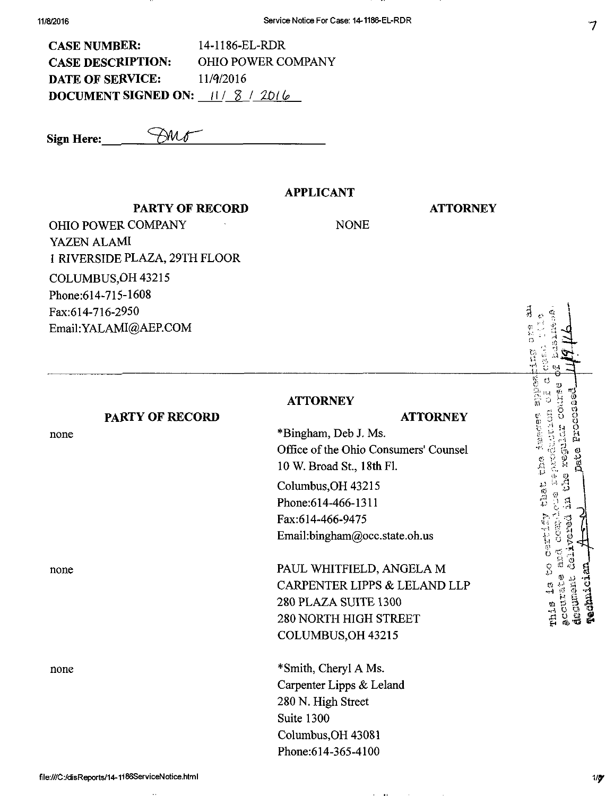| <b>CASE NUMBER:</b>                    | 14-1186-EL-RDR            |
|----------------------------------------|---------------------------|
| <b>CASE DESCRIPTION:</b>               | <b>OHIO POWER COMPANY</b> |
| <b>DATE OF SERVICE:</b>                | 11/9/2016                 |
| <b>DOCUMENT SIGNED ON:</b> $11/8/2016$ |                           |

Sign Here:  $\overline{\bigcup_{\mathcal{U}}\mathcal{U}}$ 

PARTY OF RECORD

## APPLICANT

## **ATTORNEY**

OHIO POWER COMPANY I RIVERSIDE PLAZA, 29TH FLOOR

NONE

YAZEN ALAMI COLUMBUS,OH 43215 Phone:614-715-1608 Fax:614-716-2950 Email:YALAMI@AERCOM

**ATTORNEY** 

## PARTY OF RECORD

none

none

none

## ATTORNEY

\*Bingham, Deb J. Ms. Office of the Ohio Consumers' Counsel 10 W. Broad St., 18th FL Columbus,OH 43215

Phone:614-466-1311 Fax:614-466-9475 Email[:bingham@occ.state.oh.us](mailto:bingham@occ.state.oh.us) 

PAUL WHITFIELD, ANGELA M CARPENTER LIPPS & LELAND LLP 280 PLAZA SUITE 1300 280 NORTH HIGH STREET COLUMBUS,OH 43215

\* Smith, Cheryl A Ms. Carpenter Lipps & Leland 280 N. High Street Suite 1300 Columbus,OH 43081 Phone:614-365-4100

 $\hat{\mathcal{C}}$ r-v &  $\cdot$ s • j m ca •7 f L-i \* i O. e mentere o  $\mathfrak{g}$  . '"'• > o  $^{14}$  $\ddot{\cdot}$ o ' f \ •''• ^cl ^ . fl)  $\sum_{i=1}^{\infty}$ ijadi.  $\frac{1}{2}$ E. ن<br>ديگ rhis <sup>is</sup><br>accument<br>desument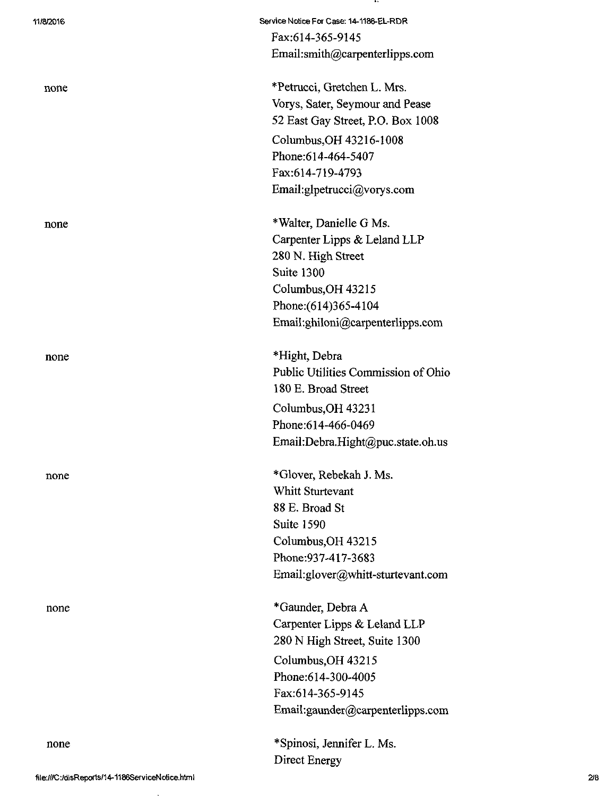| 11/8/2016 | Service Notice For Case: 14-1186-EL-RDR |
|-----------|-----------------------------------------|
|           | Fax:614-365-9145                        |
|           | Email:smith@carpenterlipps.com          |
| none      | *Petrucci, Gretchen L. Mrs.             |
|           | Vorys, Sater, Seymour and Pease         |
|           | 52 East Gay Street, P.O. Box 1008       |
|           | Columbus, OH 43216-1008                 |
|           | Phone: 614-464-5407                     |
|           | Fax:614-719-4793                        |
|           | Email:glpetrucci@vorys.com              |
| none      | *Walter, Danielle G Ms.                 |
|           | Carpenter Lipps & Leland LLP            |
|           | 280 N. High Street                      |
|           | Suite 1300                              |
|           | Columbus, OH 43215                      |
|           | Phone: (614)365-4104                    |
|           | Email:ghiloni@carpenterlipps.com        |
| none      | *Hight, Debra                           |
|           | Public Utilities Commission of Ohio     |
|           | 180 E. Broad Street                     |
|           | Columbus, OH 43231                      |
|           | Phone:614-466-0469                      |
|           | Email:Debra.Hight@puc.state.oh.us       |
| none      | *Glover, Rebekah J. Ms.                 |
|           | Whitt Sturtevant                        |
|           | 88 E. Broad St                          |
|           | <b>Suite 1590</b>                       |
|           | Columbus, OH 43215                      |
|           | Phone: 937-417-3683                     |
|           | Email:glover@whitt-sturtevant.com       |
| none      | *Gaunder, Debra A                       |
|           | Carpenter Lipps & Leland LLP            |
|           | 280 N High Street, Suite 1300           |
|           | Columbus, OH 43215                      |
|           | Phone:614-300-4005                      |
|           | Fax:614-365-9145                        |
|           | Email:gaunder@carpenterlipps.com        |
| none      | *Spinosi, Jennifer L. Ms.               |
|           | Direct Energy                           |

. .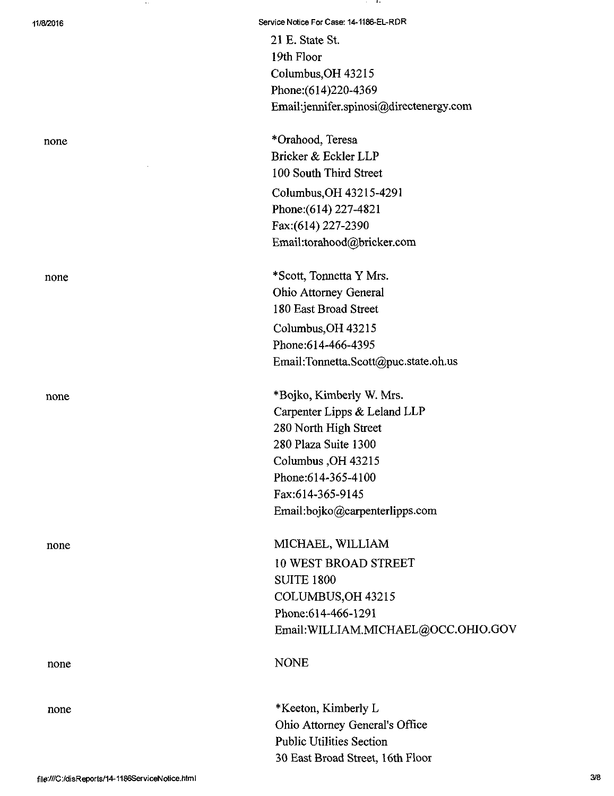21 E. State St. 19th Floor Columbus,OH 43215 Phone:(614)220-4369 Email[:jennifer.spinosi@directenergy.com](mailto:jennifer.spinosi@directenergy.com) 

none \*Orahood, Teresa Bricker & Eckler LLP 100 South Third Street Columbus,OH 43215-4291 Phone:(614)227-4821 Fax:(614) 227-2390 Email [:torahood@bricker.com](mailto:torahood@bricker.com)

none \*Scott, Tonnetta Y Mrs. Ohio Attorney General 180 East Broad Street Columbus,OH 43215 Phone:614-466-4395 Email[:Tonnetta.Scott@puc.state.oh.us](mailto:Tonnetta.Scott@puc.state.oh.us) 

none \*Bojko, Kimberly W. Mrs. Carpenter Lipps & Leland LLP 280 North High Street 280 Plaza Suite 1300 Columbus,OH 43215 Phone:614-365-4100 Fax:614-365-9145 Email:[bojko@carpenterlipps.com](mailto:bojko@carpenterlipps.com) 

none MICHAEL, WILLIAM 10 WEST BROAD STREET SUITE 1800 COLUMBUS,OH 43215 Phone:614-466-1291 Email:WILLIAM.MICHAEL@OCC.OHIO.GOV

# none NONE

none \*Keeton, Kimberly L Ohio Attorney General's Office Public Utilities Section 30 East Broad Street, 16th Floor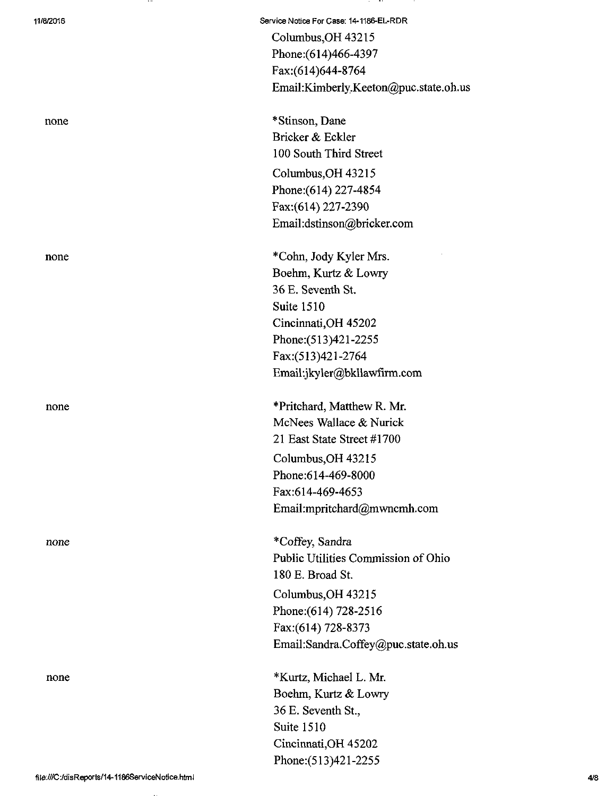none

11/8/2016 Service Notice For Case: 14-1186-EL-RDR Columbus,OH 43215 Phone:(614)466-4397 Fax:(614)644-8764 Email[:Kimberly.Keeton@puc.state.oh.us](mailto:Kimberly.Keeton@puc.state.oh.us) 

none \*Stinson, Dane Bricker & Eckler 100 South Third Street Columbus,OH 43215 Phone: (614) 227-4854 Fax:(614)227-2390 Email:[dstinson@bricker.com](mailto:dstinson@bricker.com) 

none \*Cohn, Jody Kyler Mrs. Boehm, Kurtz & Lowry 36 E. Seventh St. Suite 1510 Cincinnati,OH 45202 Phone:(513)421-2255 Fax:(513)421-2764 Email:jkyler@bklla\vfirm.com

none \*\*\* Pritchard, Matthew R. Mr. McNees Wallace & Nurick 21 East State Street #1700 Columbus,OH 43215 Phone:614-469-8000 Fax:614-469-4653 Email :mpritchard@m [wncmh.com](http://wncmh.com) 

> \* Coffey, Sandra Public Utilities Commission of Ohio 180 E. Broad St.

Columbus,OH 43215 Phone: (614) 728-2516 Fax:(614) 728-8373 Email:[Sandra.Coffey@puc.state.oh.us](mailto:Sandra.Coffey@puc.state.oh.us) 

none \*Kurtz, Michael L. Mr. Boehm, Kurtz & Lowry 36 E. Seventh St., Suite 1510 Cincinnati,OH 45202 Phone:(513)421-2255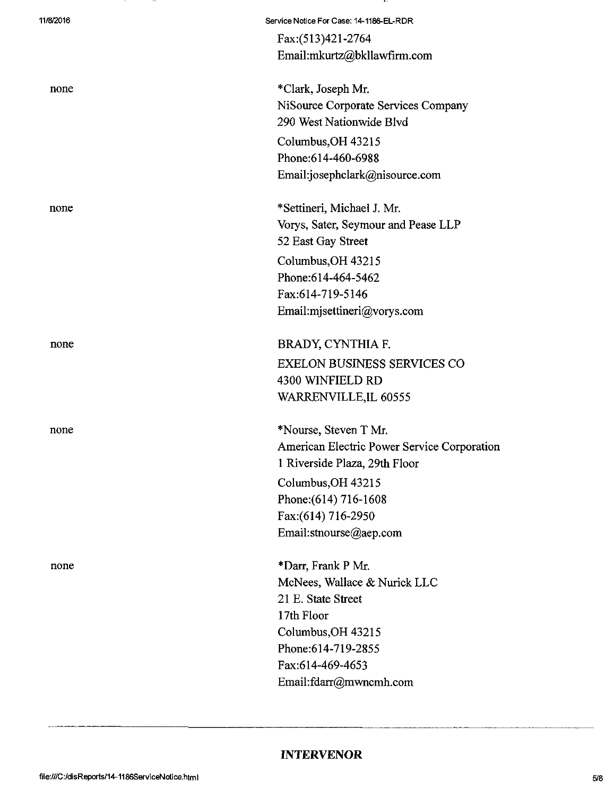| 11/8/2016 | Service Notice For Case: 14-1186-EL-RDR     |
|-----------|---------------------------------------------|
|           | Fax:(513)421-2764                           |
|           | Email:mkurtz@bkllawfirm.com                 |
| none      | *Clark, Joseph Mr.                          |
|           | NiSource Corporate Services Company         |
|           | 290 West Nationwide Blvd                    |
|           | Columbus, OH 43215                          |
|           | Phone:614-460-6988                          |
|           | Email:josephclark@nisource.com              |
| none      | *Settineri, Michael J. Mr.                  |
|           | Vorys, Sater, Seymour and Pease LLP         |
|           | 52 East Gay Street                          |
|           | Columbus, OH 43215                          |
|           | Phone: 614-464-5462                         |
|           | Fax:614-719-5146                            |
|           | Email:mjsettineri@vorys.com                 |
| none      | BRADY, CYNTHIA F.                           |
|           | <b>EXELON BUSINESS SERVICES CO</b>          |
|           | 4300 WINFIELD RD                            |
|           | WARRENVILLE, IL 60555                       |
| none      | *Nourse, Steven T Mr.                       |
|           | American Electric Power Service Corporation |
|           | 1 Riverside Plaza, 29th Floor               |
|           | Columbus, OH 43215                          |
|           | Phone: (614) 716-1608                       |
|           | Fax:(614) 716-2950                          |
|           | Email:stnourse@aep.com                      |
| none      | *Darr, Frank P Mr.                          |
|           | McNees, Wallace & Nurick LLC                |
|           | 21 E. State Street                          |
|           | 17th Floor                                  |
|           | Columbus, OH 43215                          |
|           | Phone: 614-719-2855                         |
|           | Fax:614-469-4653                            |
|           | Email:fdarr@mwncmh.com                      |
|           |                                             |

 $\cdots$ 

## INTERVENOR

 $\overline{\phantom{a}}$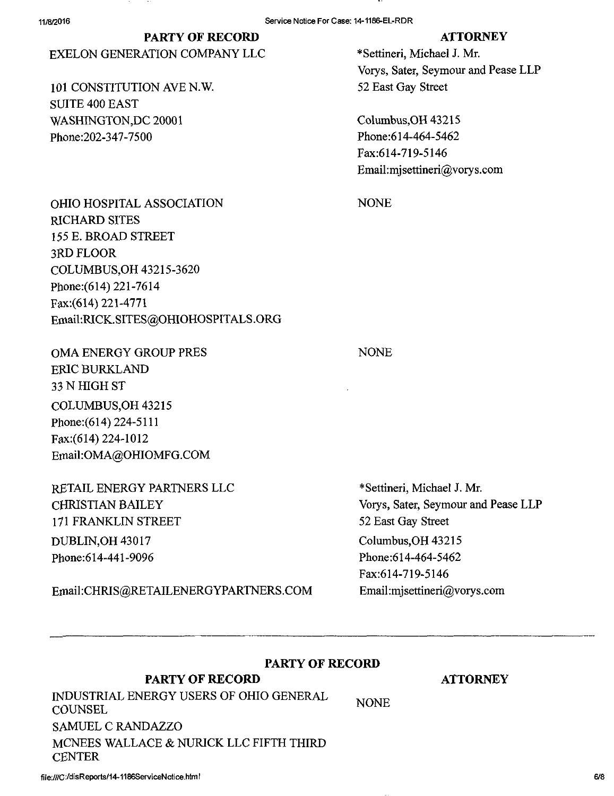#### 11/8/2016 Service Notice For Case: 14-1186-EL-RDR

## PARTY OF RECORD ATTORNEY

## EXELON GENERATION COMPANY LLC \*Settineri, Michael J. Mr.

101 CONSTITUTION AVE N.W. 52 East Gay Street SUITE 400 EAST WASHINGTON, DC 20001 Columbus, OH 43215 Phone:202-347-7500 Phone:614-464-5462

Vorys, Sater, Seymour and Pease LLP

Fax:614-719-5146 Email:[mjsettineri@vorys.com](mailto:mjsettineri@vorys.com) 

NONE

OHIO HOSPITAL ASSOCIATION RICHARD SITES 155 E. BROAD STREET 3RD FLOOR COLUMBUS,OH 43215-3620 Phone: (614) 221-7614 Fax:(614)221-4771 Email:[RICK.SITES@OHIOHOSPITALS.ORG](mailto:RICK.SITES@OHIOHOSPITALS.ORG) 

OMA ENERGY GROUP PRES ERIC BURKLAND 33 N HIGH ST COLUMBUS,OH 43215 Phone:(614)224-5111 Fax:(614)224-1012 Email:[OMA@OHIOMFG.COM](mailto:OMA@OHIOMFG.COM) 

RETAIL ENERGY PARTNERS LLC CHRISTIAN BAILEY 171 FRANKLIN STREET DUBLIN,OH 43017 Phone:614-441-9096

Einail[:CHRIS@RETAILENERGYPARTNERS.COM](mailto:CHRIS@RETAILENERGYPARTNERS.COM) 

## NONE

\*Settineri, Michael J. Mr. Vorys, Sater, Seymour and Pease LLP 52 East Gay Street Columbus,OH 43215 Phone:614-464-5462 Fax:614-719-5146 Email:[mjsettineri@vorys.com](mailto:mjsettineri@vorys.com) 

## PARTY OF RECORD

### PARTY OF RECORD

NONE INDUSTRIAL ENERGY USERS OF OHIO GENERAL **COUNSEL** SAMUEL C RANDAZZO MCNEES WALLACE & NURICK LLC FIFTH THIRD **CENTER** 

file:///C:/disReports/14-1186ServiceNotice.html 6/8

**ATTORNEY**